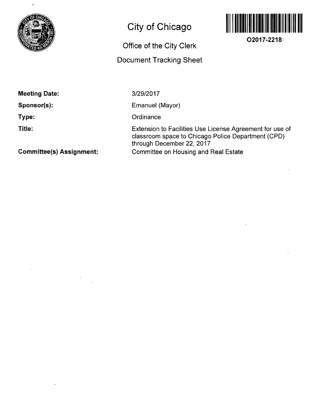

# **City of Chicago**

# **Office of the City Clerk**

# **Document Tracking Sheet**



**O2017-2218** 

**Meeting Date:** 

**Sponsor(s):** 

**Type:** 

**Title:** 

3/29/2017

Emanuel (Mayor)

**Ordinance** 

Extension to Facilities Use License Agreement for use of classroom space to Chicago Police Department (CPD) through December 22, 2017 Committee on Housing and Real Estate

**Committee(s) Assignment:**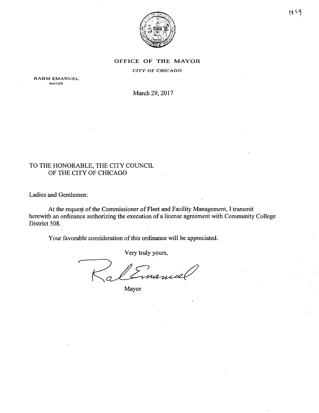

#### OFFICE OF THE MAYOR

CITY OF CHICAGO

RAHM EMANUEL MAYOR

March 29, 2017

### TO THE HONORABLE, THE CITY COUNCIL OF THE CITY OF CHICAGO

Ladies and Gentlemen:

At the request of the Commissioner of Fleet and Facility Management, I transmit herewith an ordinance authorizing the execution of a license agreement with Community College. District 508.

Your favorable consideration of this ordinance will be appreciated.

Very truly yours,

Mayor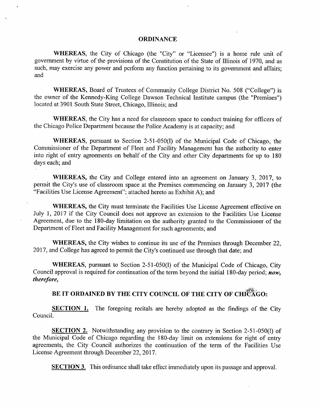#### **ORDINANCE**

WHEREAS, the City of Chicago (the "City" or "Licensee") is a home rule unit of govemment by virtue of the provisions of the Constitution of the State of Illinois of 1970, and as such, may exercise any power and perform any function pertaining to its govemment and affairs; and

WHEREAS, Board of Trustees of Community College District No. 508 ("College") is the owner of the Kennedy-King College Dawson Technical Institute campus (the "Premises") located at 3901 South State Street, Chicago, Illinois; and

WHEREAS, the City has a need for classroom space to conduct training for officers of the Chicago Police Department because the Police Academy is at capacity; and

WHEREAS, pursuant to Section 2-51-050(1) of the Municipal Code of Chicago, the Commissioner of the Department of Fleet and Facility Management has the authority to enter into right of entry agreements on behalf of the City and other City departments for up to 180 days each; and

WHEREAS, the City and College entered into an agreement on January 3, 2017, to permit the City's use of classroom space at the Premises commencing on January 3, 2017 (the "Facilities Use License Agreement"; attached hereto as Exhibit A); and

WHEREAS, the City must terminate the Facilities Use License Agreement effective on July 1, 2017 if the City Council does not approve an extension to the Facilities Use License Agreement, due to the 180-day limitation on the authority granted to the Commissioner of the Department of Fleet and Facility Management for such agreements; and

WHEREAS, the City wishes to continue its use of the Premises through December 22, 2017, and College has agreed to permit the City's continued use through that date; and

WHEREAS, pursuant to Section 2-51-050(1) of the Municipal Code of Chicago, City *Council approval is required for continuation of the term beyond the initial 180-day period; now, therefore,* 

## BE IT ORDAINED BY THE CITY COUNCIL OF THE CITY OF CHICAGO:

**SECTION 1.** The foregoing recitals are hereby adopted as the findings of the City Council.

SECTION 2. Notwithstanding any provision to the contrary in Section 2-51-050(1) of the Municipal Code of Chicago regarding the 180-day limit on extensions for right of entry agreements, the City Council authorizes the continuation of the term of the Facilities Use License Agreement through December 22, 2017.

**SECTION 3.** This ordinance shall take effect immediately upon its passage and approval.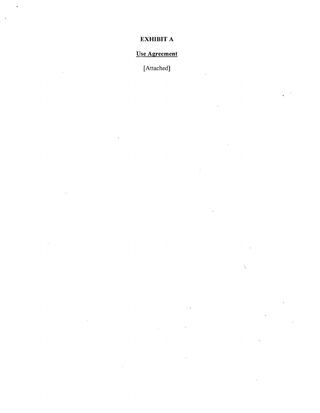## EXHIBIT A

# Use Agreement

[Attached]

 $\ddot{\chi}$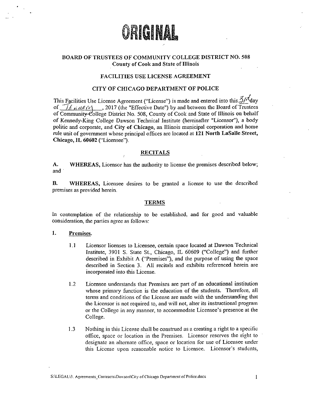

### BOARD OF TRUSTEES OF COMMUNITY COLLEGE DISTRICT NO. 508 County of Cook and State of Illinois

#### FACILITIES USE LICENSE AGREEMENT

#### CITY OF CHICAGO DEPARTMENT OF POLICE

This Facilities Use License Agreement ("License") is made and entered into this  $\tilde{\mathcal{I}}$ / day of  $\mathcal{I}_{\ell,i,d\ell,i'\ell'}$ , 2017 (ihe "Effective Date") by and between the Board of Trustees of Community-College District No. 508, County of Cook and State of Illinois on behalf of Kennedy-King College Dawson Technical Institute (hereinafter "Liceasor"), a body politic and corporate, and City of Chicago, an Illinois municipal corporation and home rule unit of govemment whose principal offices arc located al 121 North LaSalle Street, Chicago, IL 60602 ("Licensee").

#### RECITALS

A. WHEREAS, Licensor has the authority to license the premises described below; and

B. WHEREAS, Licensee desires to be granted a license to use the described premises as provided herein.

#### TERMS

In contemplation of the relationship to be established, and for good and valuable consideration, the parlies agree as follows:

#### 1. Premises.

- 1.1 Licensor licenses to Licensee, certain space located at Dawson Technical Institute, 3901 S. State St., Chicago, IL 60609 ("College") and further described in Exhibit A ("Premises"), and the purpose of using the space described in Section 3. All recitals and exhibits referenced herein are incorporated into this License.
- 1.2 Licensee understands that Premises are part of an educational institution whose primary function is the education of the students. Therefore, all terms and conditions of the License are made with the understanding that the Licensor is not required to, and will not, alter its instructional program or the College in any manner, to accommodate Licensee's presence at the College.
- 1.3 Nothing in this License shall be construed as a creating a right to a specific office, space or location in the Premises. Licensor reserves die right to designate an alternate office, space or location for use of Licensee under this License upon reasonable notice to Licensee. Licensor's students,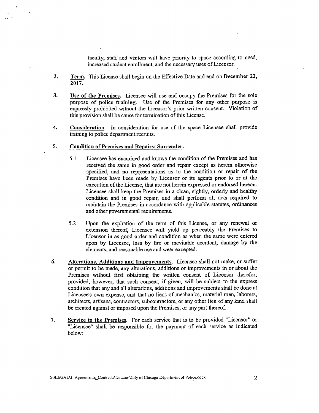faculty, staff and visitors will have priority to space according to need, increased student enrollment, and the necessary uses of Licensor.

- 2. Term. This License shall begin on the Effective Date and end on December 22, 2017.
- 3. Use of the Premises. Licensee will use and occupy the Premises for the sole purpose of police training. Use of the Premises for any other purpose is expressly prohibited without the Licensor's prior written consent. Violation of this provision shall be cause for termination of this License.
- 4. Consideration. In consideration for use of the space Licensee shall provide training to police department recruits.
- 5. Condition of Premises and Repairs; Surrender.
	- 5.1 Licensee has examined and knows the condition of the Premises and has received the same in good order and repair except as herein otherwise specified, and no representations as to the condition or repair of die Premises have been made by Licensor or its agents prior to or at the execution of the License, that are not herein expressed or endorsed hereon. Licensee shall keep the Premises in a clean, sightly, orderiy and healthy condition and in good repair, and shall perfonn all acts required to maintain the Premises in accordance with applicable statutes, ordinances and other govemmental requirements.
	- 5.2 Upon the expiration of the term of this License, or any renewal or extension thereof. Licensee will yield up peaceably the Premises to Licensor in as good order and condition as when the same were entered upon by Licensee, loss by fire or inevitable accident, damage by die clematits, and reasonable use and wear excepted.
- 6. Alterations, Additions and Improvements. Licensee shall not make, or suffer or pemiit to be made, any alterations, additions or improvements in or about the Premises without first obtaining the written consent of Licensor therefor; provided, however, that such consent, if given, will be subject to the express condition that any and all alterations, additions and improvements shall be done at Licensee's own expense, and that no liens of mechanics, material men, laborers, architects, artisans, contractors, subcontractors, or any other lien of any kind shall be created against or imposed upon the Premises, or any part thereof.
- 7. Service to the Premises. For each service that is to be provided "Licensor" or "Licensee" shall be responsible for the payment of each service as indicated below: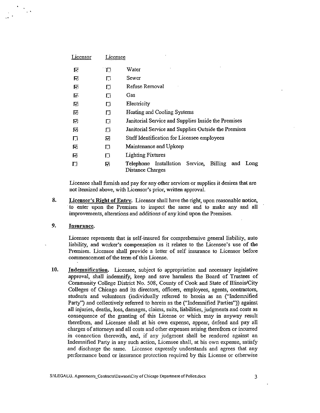| <u>Licensor</u> | Licensee |                                                                               |
|-----------------|----------|-------------------------------------------------------------------------------|
| ⊵               | $\Box$   | Water                                                                         |
| ⊠               | П        | Sewer                                                                         |
| M               | 口        | Refuse Removal                                                                |
| लि              | 囗        | Gas                                                                           |
| 囨               | Π        | Electricity                                                                   |
| 囨               | 口        | Heating and Cooling Systems                                                   |
| V,              | Π        | Janitorial Service and Supplies Inside the Premises                           |
| 夃               | Ωī       | Janitorial Service and Supplies Outside the Premises                          |
| П               | 冈        | Staff Identification for Licensee employees                                   |
| নে              | П        | Maintenance and Upkeep                                                        |
| Ø               | П        | Lighting Fixtures                                                             |
| □               | Ŗ,       | Billing<br>Telephone Installation Service,<br>and<br>Long<br>Distance Charges |

Licensee shall furnish and pay for any other services or supplies it desires that are not itemized above, with Licensor's prior, written approval.

8. Licensor's Right of Entry. Licensor shall have the right, upon reasonable notice, to enter upon the Premises to inspect the same and to make any and all improvements, alterations and additions of any kind upon the Premises.

### 9. Insurance.

Licensee represents that is self-insured for comprehensive general liability, auto liability, and worker's compensation as it relates to the Licensee's use of the Premises. Licensee shall provide a letter of self insurance to Licensor before commencement of the term of this License.

10. Indemnification. Licensee, subject to appropriation and necessary legislative approval, shall indemnify, keep and save harmless the Board of Trustees of Community College District No. 508, County of Cook and State of Illinois/City Colleges of Chicago and its directors, officers, employees, agents, contractors, students and volunteers (individually referred to herein as an ("Indemnified Party") and collectively referred to herein as the ("Indemnified Parties")) against all injuries, deaths, loss, damages, claims, suits, liabilities, judgments and costs as consequence of the granting of this License or which may in anyway result therefrom, and Licensee shall at his own expense, appear, defend and pay all charges of attomeys and all costs and other expenses arising therefrom or incurred in connection therewith, and, if any judgment shall be rendered against an Indemnified Party in any such action. Licensee shall, at his own expense, satisfy and discharge the same. Licensee expressly understands and agrees that any performance bond or insurance protection required by this License or otherwise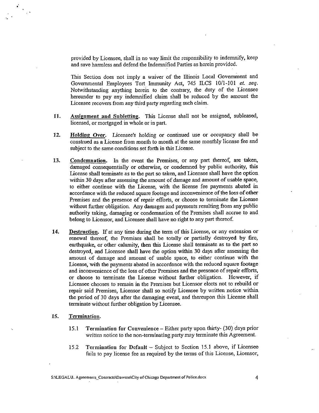provided by Licensee, shall in no way limit the responsibility to indemnify, keep and save harmless and defend the Indemnified Parties as herein provided.

This Section does not imply a waiver of the Illinois Local Government and Governmental Employees Tort Immunity Act, 745 ILCS lO/l-IOl et. seq. Notwithstanding anything herein to the contrary, the duty of the Licensee hereunder to pay any indemnified claim shall be reduced by the amount the Licensee recovers from any third party regarding such claim.

- 11. Assignment and Subletting. This License shall not be assigned, subleased, licensed, or mortgaged in whole or in part.
- 12. Holding Over. Licensee's holding or continued use or occupancy shall be construed as a License from month to month at the same monthly license fee and subject to the same conditions set forth in this License.
- 13. Condemnation. In the event the Premises, or any part thereof, are taken, damaged consequentially or otherwise, or condemned by public authority, this License shall termmatc as to the part so taken, and Licensee shall have the option within 30 days after assessing the amount of damage and amount of usable space, to either continue with the License, with the license fee payments abated in accordance with the reduced square footage and inconvenience of the loss of other Premises and the presence of repair efforts, or choose to tenninate the License without further obligation. Any damages and payments resulting from any public authority taking, damaging or condemnation of the Premises shall accrue to and belong to Licensor, and Licensee shall have no right to any part thereof.
- 14. Destruction. If at any time during the term of this License, or any extension or renewal thereof, die Premises shall be totally or partially destroyed by fire, earthquake, or other calamity, then this License shall terminate as to the part so destroyed, and Licensee shall have the option within 30 days after assessing the amount of damage and amount of usable space, to eidier continue with the License, with the payments abated in accordance with the reduced square footage and inconvenience of the loss of other Premises and the presence of repair efforts, or choose to terminate the License without further obligation. However, if Licensee chooses to remain in the Premises but Licensor elects not to rebuild or repair said Premises, Licensor shall so notify Licensee by written notice within the period of 30 days after the damaging event, and thereupon this License shall terminate without further obligation by Licensee.

#### 15. Termination.

 $\mathcal{L}^{\mathcal{A}}$ 

- 15.1 Termination for Convenience Either party upon thirty- (30) days prior written notice to the non-terminating party may terminate this Agreement.
- 15.2 Termination for Default Subject to Section 15.1 above, if Licensee fails to pay license fee as required by the terms of this License, Licensor,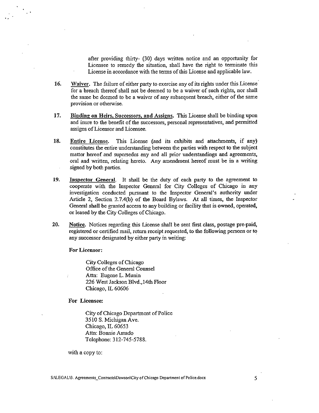after providing thirty- (30) days written notice and an opportunity for Licensee to remedy the situation, shall have the right to terminate this License in accordance with the terms of this License and applicable law.

- 16. Waiver. The failure of either party to exercise any of its rights under this License for a breach thereof shall not be deemed to be a waiver of such rights, nor shall the same be deemed to be a waiver of any subsequent breach, either of the same provision or otherwise.
- 17. Binding on Heirs, Successors, and Assigns. This License shall be binding upon and inure to the benefit of the successors, personal representatives, and permitted assigns of Licensor and Licensee.
- 18. Entire License. This License (and its exhibits and attachments, if any) constitutes the entire understanding between the parties with respect to the subject matter hereof and supersedes any and ali prior understandings and agreements, oral and written, relating hereto. Any amendment hereof must be in a writing signed by both parties.
- 19. Inspector General. It shall be the duty of each party to the agreement to cooperate with the Inspector General for City Colleges of Chicago in any investigation conducted pursuant to the Inspector General's authority under Article 2, Section 2.7.4(b) of the Board Bylaws. At all times, the Inspector General shall be granted access to any building or facility that is owned, operated, or leased by the City Colleges of Chicago.
- 20. Notice. Notices regarding this License shall be sent first class, postage pre-paid, registered or certified mail, return receipt requested, to the following persons or to any successor designated by either party in writing:

For Licensor:

City Colleges of Chicago Office of the General Counsel Attn: Eugene L. Munin 226 West Jackson Blvd.,14th Floor Chicago, IL 60606

For Licensee:

City of Chicago Department of Police 3510 S. Michigan Ave. Chicago, IL 60653 Attn: Bonnie Amado Telephone: 312-745-5788.

with a copy to: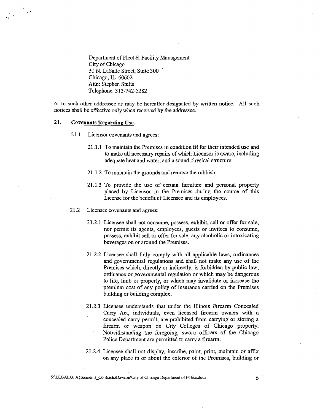Department of Fleet & Facility Management City of Chicago 30 N. LaSalle Street, Suite 300 Cliicago, IL 60602 Attn: Stephen Stults Telephone: 312-742-5282

or to such other addressee as may be hereafter designated by written notice. All such notices shall be effective only when received by the addressee.

#### 21. Covenants Regarding Use.

- 21.1 Licensor covenants and agrees:
	- 21.1.1 To maintain the Premises in condition fit for their intended use and to make all necessary repairs of which Licensor is aware, including adequate heat and water, and a sound physical structure;
	- 21.1.2 To maintain the groumds and remove the rubbish;
	- 21.1.3 To provide the use of certain furniture and personal property placed by Licensor in the Premises during the course of this License for the benefit of Licensee and its employees.
- 21.2 Licensee covenants and agrees:
	- 21.2.1 Licensee shall not consume, possess, exhibit, sell or offer for sale, nor permit its agents, employees, guests or invitees to consume, possess, exhibit sell or offer for sale, any alcoholic or intoxicating beverages on or around the Premises.
	- 21.2.2 Licensee shall fiilly comply with all applicable laws, ordinances and govemmental regulations and shall not make any use of the Premises which, directly or indirectly, is forbidden by public law, ordinance or governmental regulation or which may be dangerous ' to life, limb or property, or which may invalidate or increase the premium cost of any policy of insurance carried on the Premises building or building complex.
	- 21.2.3 Licensee understands that under the Illinois Firearm Concealed Carry Act, individuals, even licensed firearm owners with a concealed carry permit, are prohibited from carrying or storing a firearm or weapon on City Colleges of Chicago property. Notwithstanding the foregoing, swom officers of the Chicago Police Department arc permitted to carry a firearm.
	- 21.2.4 Licensee shall not display, inscribe, paint, print, maintain or affix on any place in or about the exterior of the Promises, building or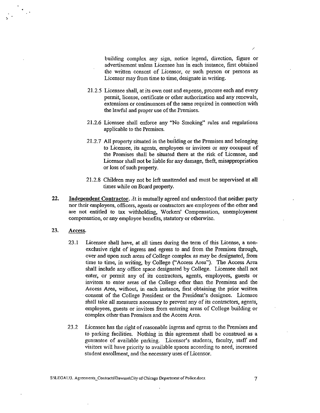building complex any sign, notice legend, direction, figure or advertisement unless Licensee has in each instance, first obtained the written consent of Licensor, or such person or persons as Licensor may from time to time, designate in writing.

- 21.2.5 Licensee shall, at its own cost and expense, procure each and every permit, license, certificate or other authorization and any renewals, extensions or continuances of the same required in connection with the lawful and proper use of the Premises.
- 21.2.6 Licensee shall enforce any "No Smoking" mles and regulations applicable to the Premises.
- 21.2.7 All property situated in the building or the Premises and belonging to Licensee, its agents, employees or invitees or any occupant of the Premises shall be situated there at the risk of Licensee, and Licensor shall not be liable for any damage, theft, misappropriation or loss of such property.
- 21.2.8 Children may not be left unattended and must be supervised at all times while on Board property.
- 22. Independent Contractor, *At* is mutually agreed and understood that neither party nor their employees, officers, agents or contractors are employees of the other and are not entitled to tax withholding, Workers' Compensation, unemployment compensation, or any employee benefits, statutory or otherwise,
- 23. Access.

 $\ddotsc$ 

- 23.1 Licensee shall have, at all times during the tenn of this License, a nonexclusive right of ingress and egress to and from the Premises through, over and upon such areas of College complex as may be designated, from time to time, in writing, by College ("Access Area"). The Access Area shall include any office space designated by College, Licensee shall not enter, or permit any of its contractors, agents, employees, guests or invitees to enter areas of the College other than the Premises and the Access Area, without, in each instance, first obtaining the prior written consent of the College President or the President's designee. Licensee shall take all measures necessary to prevent any of its contractors, agents, employees, guests or invitees from entering areas of College building or complex other than Premises and the Access Area.
- 23.2 Licensee has the right of reasonable ingress and egress to the Premises and to parking facilities. Nothing in this agreement shall be construed as a guarantee of available parking. Licensor's students, faculty, staff and visitors will have priority to available spaces according to need, increased student enrollment, and the necessary uses of Licensor.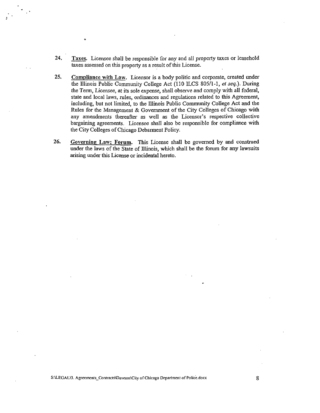- 24, Taxes. Licensee shall be responsible for any and all property taxes or leasehold taxes assessed on this property as a result of this License.
- 25, Compliance with Law. Licensor is a body politic and corporate, created under the Illinois Public Community College Act (110 ILCS 805/1-1, et seq.). During the Term, Licensee, at its sole expense, shall observe and comply with all federal, state and local laws, rules, ordinances and regulations related to this Agreement, including, but not limited, to the Illinois Public Community College Act and the Rules for the Management & Govemment of the City Colleges of Chicago with any amendments thereafter as well as the Licensor's respective collective bargaining agreements. Licensee shall also be responsible for compliance with the City Colleges of Chicago Debarment Policy.
- 26, Governing Law: Forum. This License shall be govemed by and construed under the laws of the State of Illinois, which shall be the forum for any lawsuits arising under this License or incidental hereto.

S:\LEGAL\3. Agreements\_Contracts\Dawson\City of Chicago Department of Police.docx

8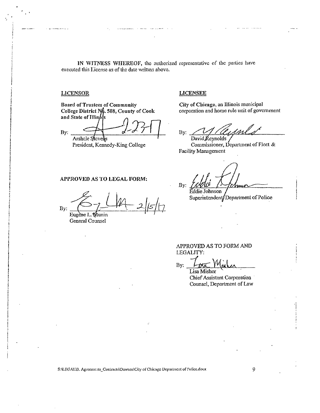IN WITNESS WHEREOF, the authorized representative of the parlies have executed this License as of the date written above.

#### LICENSOR LICENSEE

Board of Trustees of Community College District No. 508, County of Cook and State of Illinois

By, Arshele Stevens

a comparatives and

President, Kennedy-King College

APPROVED AS TO LEGAL FORM:

City of Chicago, an Illinois municipal corporation and home rule unit of government

By: David  $R$ cynolds

Commissioner, Department of Fleet  $\&$ Facility Management

By: EddicJohnson

Superintcndent/Dcpariment of Police

By:

Eugene L. Wunin General Counsel

APPROVED AS TO FORM AND

fEGALITY: By:

Lisa Misher Chief Assistant Corporation Counsel, Department of Law